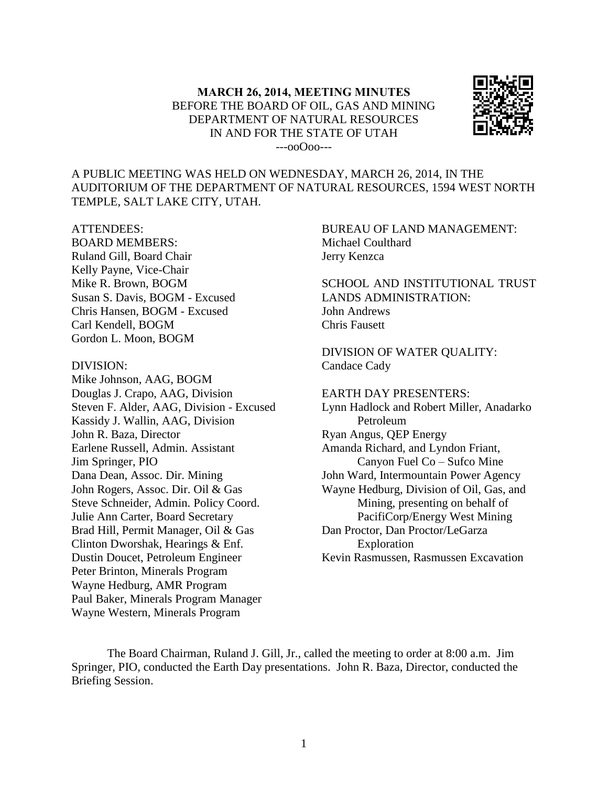

A PUBLIC MEETING WAS HELD ON WEDNESDAY, MARCH 26, 2014, IN THE AUDITORIUM OF THE DEPARTMENT OF NATURAL RESOURCES, 1594 WEST NORTH TEMPLE, SALT LAKE CITY, UTAH.

#### ATTENDEES:

BOARD MEMBERS: Ruland Gill, Board Chair Kelly Payne, Vice-Chair Mike R. Brown, BOGM Susan S. Davis, BOGM - Excused Chris Hansen, BOGM - Excused Carl Kendell, BOGM Gordon L. Moon, BOGM

#### DIVISION:

Mike Johnson, AAG, BOGM Douglas J. Crapo, AAG, Division Steven F. Alder, AAG, Division - Excused Kassidy J. Wallin, AAG, Division John R. Baza, Director Earlene Russell, Admin. Assistant Jim Springer, PIO Dana Dean, Assoc. Dir. Mining John Rogers, Assoc. Dir. Oil & Gas Steve Schneider, Admin. Policy Coord. Julie Ann Carter, Board Secretary Brad Hill, Permit Manager, Oil & Gas Clinton Dworshak, Hearings & Enf. Dustin Doucet, Petroleum Engineer Peter Brinton, Minerals Program Wayne Hedburg, AMR Program Paul Baker, Minerals Program Manager Wayne Western, Minerals Program

BUREAU OF LAND MANAGEMENT: Michael Coulthard Jerry Kenzca

SCHOOL AND INSTITUTIONAL TRUST LANDS ADMINISTRATION: John Andrews Chris Fausett

DIVISION OF WATER QUALITY: Candace Cady

EARTH DAY PRESENTERS: Lynn Hadlock and Robert Miller, Anadarko Petroleum Ryan Angus, QEP Energy Amanda Richard, and Lyndon Friant, Canyon Fuel Co – Sufco Mine John Ward, Intermountain Power Agency Wayne Hedburg, Division of Oil, Gas, and Mining, presenting on behalf of PacifiCorp/Energy West Mining Dan Proctor, Dan Proctor/LeGarza Exploration Kevin Rasmussen, Rasmussen Excavation

The Board Chairman, Ruland J. Gill, Jr., called the meeting to order at 8:00 a.m. Jim Springer, PIO, conducted the Earth Day presentations. John R. Baza, Director, conducted the Briefing Session.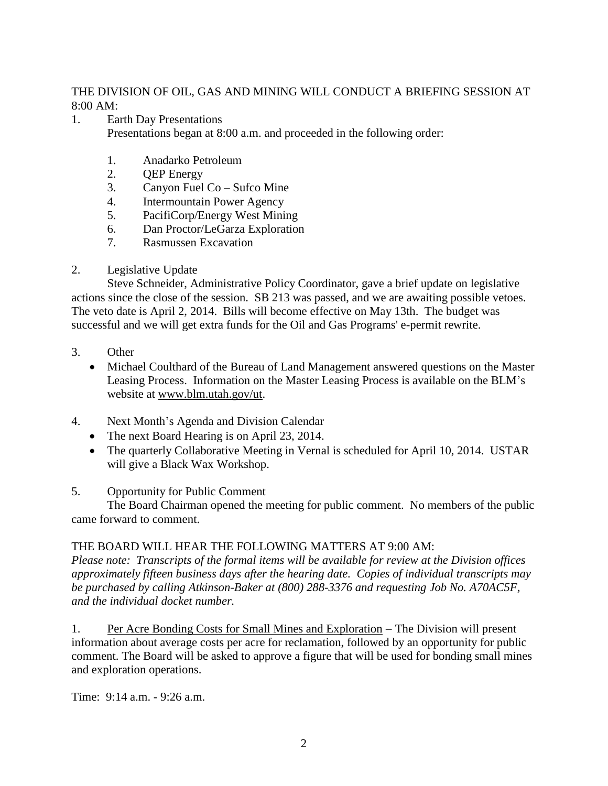### THE DIVISION OF OIL, GAS AND MINING WILL CONDUCT A BRIEFING SESSION AT 8:00 AM:

- 1. Earth Day Presentations Presentations began at 8:00 a.m. and proceeded in the following order:
	- 1. Anadarko Petroleum
	- 2. QEP Energy
	- 3. Canyon Fuel Co Sufco Mine
	- 4. Intermountain Power Agency
	- 5. PacifiCorp/Energy West Mining
	- 6. Dan Proctor/LeGarza Exploration
	- 7. Rasmussen Excavation
- 2. Legislative Update

Steve Schneider, Administrative Policy Coordinator, gave a brief update on legislative actions since the close of the session. SB 213 was passed, and we are awaiting possible vetoes. The veto date is April 2, 2014. Bills will become effective on May 13th. The budget was successful and we will get extra funds for the Oil and Gas Programs' e-permit rewrite.

- 3. Other
	- Michael Coulthard of the Bureau of Land Management answered questions on the Master Leasing Process. Information on the Master Leasing Process is available on the BLM's website at www.blm.utah.gov/ut.
- 4. Next Month's Agenda and Division Calendar
	- The next Board Hearing is on April 23, 2014.
	- The quarterly Collaborative Meeting in Vernal is scheduled for April 10, 2014. USTAR will give a Black Wax Workshop.

# 5. Opportunity for Public Comment

The Board Chairman opened the meeting for public comment. No members of the public came forward to comment.

# THE BOARD WILL HEAR THE FOLLOWING MATTERS AT 9:00 AM:

*Please note: Transcripts of the formal items will be available for review at the Division offices approximately fifteen business days after the hearing date. Copies of individual transcripts may be purchased by calling Atkinson-Baker at (800) 288-3376 and requesting Job No. A70AC5F, and the individual docket number.*

1. Per Acre Bonding Costs for Small Mines and Exploration – The Division will present information about average costs per acre for reclamation, followed by an opportunity for public comment. The Board will be asked to approve a figure that will be used for bonding small mines and exploration operations.

Time: 9:14 a.m. - 9:26 a.m.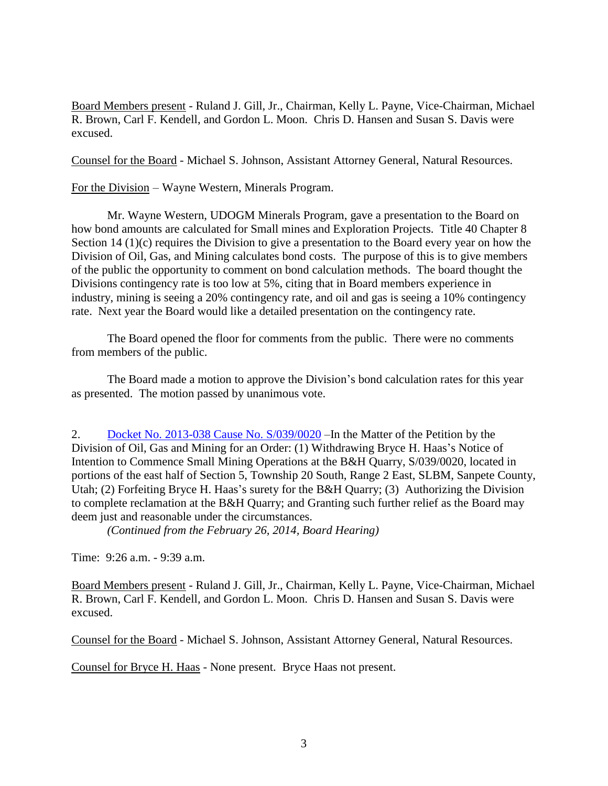Board Members present - Ruland J. Gill, Jr., Chairman, Kelly L. Payne, Vice-Chairman, Michael R. Brown, Carl F. Kendell, and Gordon L. Moon. Chris D. Hansen and Susan S. Davis were excused.

Counsel for the Board - Michael S. Johnson, Assistant Attorney General, Natural Resources.

For the Division – Wayne Western, Minerals Program.

Mr. Wayne Western, UDOGM Minerals Program, gave a presentation to the Board on how bond amounts are calculated for Small mines and Exploration Projects. Title 40 Chapter 8 Section 14 (1)(c) requires the Division to give a presentation to the Board every year on how the Division of Oil, Gas, and Mining calculates bond costs. The purpose of this is to give members of the public the opportunity to comment on bond calculation methods. The board thought the Divisions contingency rate is too low at 5%, citing that in Board members experience in industry, mining is seeing a 20% contingency rate, and oil and gas is seeing a 10% contingency rate. Next year the Board would like a detailed presentation on the contingency rate.

The Board opened the floor for comments from the public. There were no comments from members of the public.

The Board made a motion to approve the Division's bond calculation rates for this year as presented. The motion passed by unanimous vote.

2. Docket No. 2013-038 Cause No. [S/039/0020](http://ogm.utah.gov/amr/boardtemp/redesign/2014/03_mar/dockets/2013-038_s0390020_brycehhaas.html) – In the Matter of the Petition by the Division of Oil, Gas and Mining for an Order: (1) Withdrawing Bryce H. Haas's Notice of Intention to Commence Small Mining Operations at the B&H Quarry, S/039/0020, located in portions of the east half of Section 5, Township 20 South, Range 2 East, SLBM, Sanpete County, Utah; (2) Forfeiting Bryce H. Haas's surety for the B&H Quarry; (3) Authorizing the Division to complete reclamation at the B&H Quarry; and Granting such further relief as the Board may deem just and reasonable under the circumstances.

*(Continued from the February 26, 2014, Board Hearing)*

Time: 9:26 a.m. - 9:39 a.m.

Board Members present - Ruland J. Gill, Jr., Chairman, Kelly L. Payne, Vice-Chairman, Michael R. Brown, Carl F. Kendell, and Gordon L. Moon. Chris D. Hansen and Susan S. Davis were excused.

Counsel for the Board - Michael S. Johnson, Assistant Attorney General, Natural Resources.

Counsel for Bryce H. Haas - None present. Bryce Haas not present.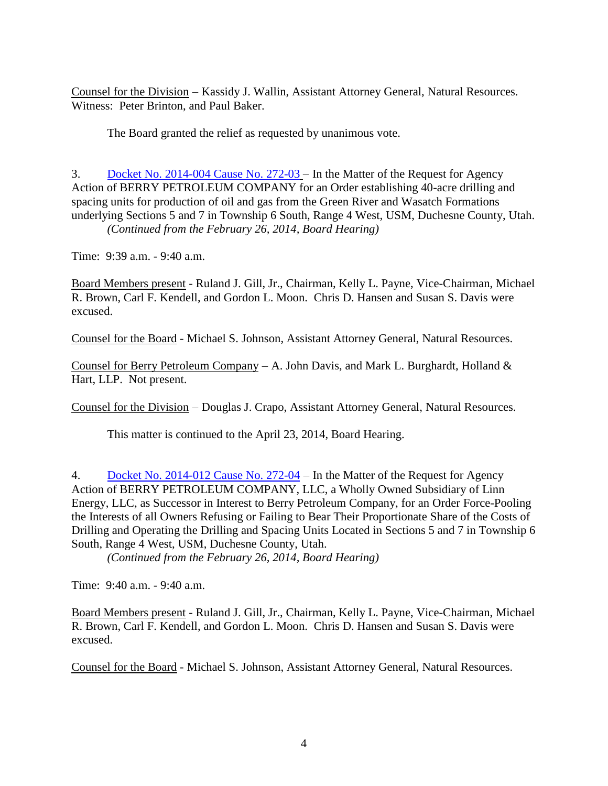Counsel for the Division – Kassidy J. Wallin, Assistant Attorney General, Natural Resources. Witness: Peter Brinton, and Paul Baker.

The Board granted the relief as requested by unanimous vote.

3. Docket No. [2014-004](http://ogm.utah.gov/amr/boardtemp/redesign/2014/03_mar/dockets/2014-004_272-03_berry.html) Cause No. 272-03 – In the Matter of the Request for Agency Action of BERRY PETROLEUM COMPANY for an Order establishing 40-acre drilling and spacing units for production of oil and gas from the Green River and Wasatch Formations underlying Sections 5 and 7 in Township 6 South, Range 4 West, USM, Duchesne County, Utah. *(Continued from the February 26, 2014, Board Hearing)*

Time: 9:39 a.m. - 9:40 a.m.

Board Members present - Ruland J. Gill, Jr., Chairman, Kelly L. Payne, Vice-Chairman, Michael R. Brown, Carl F. Kendell, and Gordon L. Moon. Chris D. Hansen and Susan S. Davis were excused.

Counsel for the Board - Michael S. Johnson, Assistant Attorney General, Natural Resources.

Counsel for Berry Petroleum Company – A. John Davis, and Mark L. Burghardt, Holland  $\&$ Hart, LLP. Not present.

Counsel for the Division – Douglas J. Crapo, Assistant Attorney General, Natural Resources.

This matter is continued to the April 23, 2014, Board Hearing.

4. Docket No. [2014-012](http://ogm.utah.gov/amr/boardtemp/redesign/2014/03_mar/dockets/2014-012_272-04_berry.html) Cause No. 272-04 – In the Matter of the Request for Agency Action of BERRY PETROLEUM COMPANY, LLC, a Wholly Owned Subsidiary of Linn Energy, LLC, as Successor in Interest to Berry Petroleum Company, for an Order Force-Pooling the Interests of all Owners Refusing or Failing to Bear Their Proportionate Share of the Costs of Drilling and Operating the Drilling and Spacing Units Located in Sections 5 and 7 in Township 6 South, Range 4 West, USM, Duchesne County, Utah.

*(Continued from the February 26, 2014, Board Hearing)*

Time: 9:40 a.m. - 9:40 a.m.

Board Members present - Ruland J. Gill, Jr., Chairman, Kelly L. Payne, Vice-Chairman, Michael R. Brown, Carl F. Kendell, and Gordon L. Moon. Chris D. Hansen and Susan S. Davis were excused.

Counsel for the Board - Michael S. Johnson, Assistant Attorney General, Natural Resources.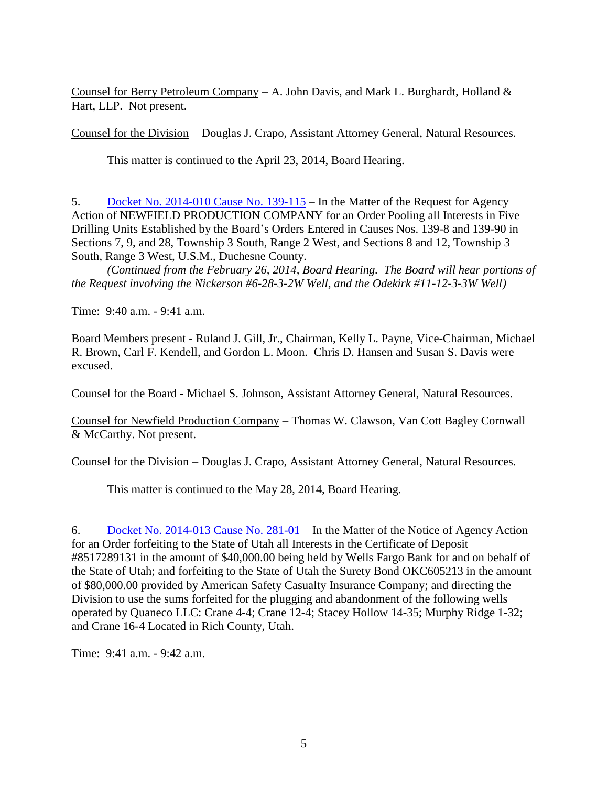Counsel for Berry Petroleum Company – A. John Davis, and Mark L. Burghardt, Holland  $\&$ Hart, LLP. Not present.

Counsel for the Division – Douglas J. Crapo, Assistant Attorney General, Natural Resources.

This matter is continued to the April 23, 2014, Board Hearing.

5. Docket No. [2014-010](http://ogm.utah.gov/amr/boardtemp/redesign/2014/03_mar/dockets/2014-010_139-115_newfield.html) Cause No. 139-115 – In the Matter of the Request for Agency Action of NEWFIELD PRODUCTION COMPANY for an Order Pooling all Interests in Five Drilling Units Established by the Board's Orders Entered in Causes Nos. 139-8 and 139-90 in Sections 7, 9, and 28, Township 3 South, Range 2 West, and Sections 8 and 12, Township 3 South, Range 3 West, U.S.M., Duchesne County.

*(Continued from the February 26, 2014, Board Hearing. The Board will hear portions of the Request involving the Nickerson #6-28-3-2W Well, and the Odekirk #11-12-3-3W Well)*

Time: 9:40 a.m. - 9:41 a.m.

Board Members present - Ruland J. Gill, Jr., Chairman, Kelly L. Payne, Vice-Chairman, Michael R. Brown, Carl F. Kendell, and Gordon L. Moon. Chris D. Hansen and Susan S. Davis were excused.

Counsel for the Board - Michael S. Johnson, Assistant Attorney General, Natural Resources.

Counsel for Newfield Production Company – Thomas W. Clawson, Van Cott Bagley Cornwall & McCarthy. Not present.

Counsel for the Division – Douglas J. Crapo, Assistant Attorney General, Natural Resources.

This matter is continued to the May 28, 2014, Board Hearing.

6. Docket No. [2014-013](http://ogm.utah.gov/amr/boardtemp/redesign/2014/03_mar/dockets/2014-013_281-01_quaneco.html) Cause No. 281-01 – In the Matter of the Notice of Agency Action for an Order forfeiting to the State of Utah all Interests in the Certificate of Deposit #8517289131 in the amount of \$40,000.00 being held by Wells Fargo Bank for and on behalf of the State of Utah; and forfeiting to the State of Utah the Surety Bond OKC605213 in the amount of \$80,000.00 provided by American Safety Casualty Insurance Company; and directing the Division to use the sums forfeited for the plugging and abandonment of the following wells operated by Quaneco LLC: Crane 4-4; Crane 12-4; Stacey Hollow 14-35; Murphy Ridge 1-32; and Crane 16-4 Located in Rich County, Utah.

Time: 9:41 a.m. - 9:42 a.m.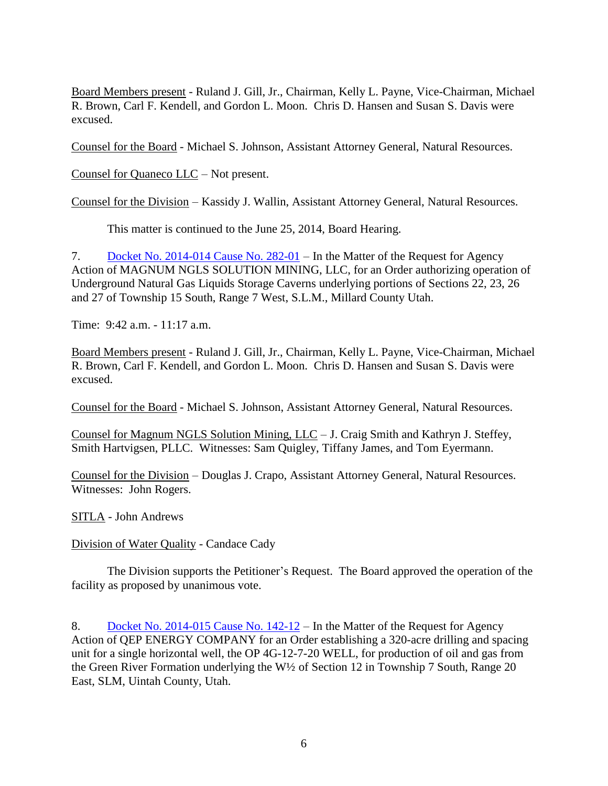Board Members present - Ruland J. Gill, Jr., Chairman, Kelly L. Payne, Vice-Chairman, Michael R. Brown, Carl F. Kendell, and Gordon L. Moon. Chris D. Hansen and Susan S. Davis were excused.

Counsel for the Board - Michael S. Johnson, Assistant Attorney General, Natural Resources.

Counsel for Quaneco LLC – Not present.

Counsel for the Division – Kassidy J. Wallin, Assistant Attorney General, Natural Resources.

This matter is continued to the June 25, 2014, Board Hearing.

7. Docket No. [2014-014](http://ogm.utah.gov/amr/boardtemp/redesign/2014/03_mar/dockets/2014-014_282-01_magnum.html) Cause No. 282-01 – In the Matter of the Request for Agency Action of MAGNUM NGLS SOLUTION MINING, LLC, for an Order authorizing operation of Underground Natural Gas Liquids Storage Caverns underlying portions of Sections 22, 23, 26 and 27 of Township 15 South, Range 7 West, S.L.M., Millard County Utah.

Time: 9:42 a.m. - 11:17 a.m.

Board Members present - Ruland J. Gill, Jr., Chairman, Kelly L. Payne, Vice-Chairman, Michael R. Brown, Carl F. Kendell, and Gordon L. Moon. Chris D. Hansen and Susan S. Davis were excused.

Counsel for the Board - Michael S. Johnson, Assistant Attorney General, Natural Resources.

Counsel for Magnum NGLS Solution Mining, LLC – J. Craig Smith and Kathryn J. Steffey, Smith Hartvigsen, PLLC. Witnesses: Sam Quigley, Tiffany James, and Tom Eyermann.

Counsel for the Division – Douglas J. Crapo, Assistant Attorney General, Natural Resources. Witnesses: John Rogers.

SITLA - John Andrews

Division of Water Quality - Candace Cady

The Division supports the Petitioner's Request. The Board approved the operation of the facility as proposed by unanimous vote.

8. Docket No. [2014-015](http://ogm.utah.gov/amr/boardtemp/redesign/2014/03_mar/dockets/2014-015_142-12_qep.html) Cause No. 142-12 – In the Matter of the Request for Agency Action of QEP ENERGY COMPANY for an Order establishing a 320-acre drilling and spacing unit for a single horizontal well, the OP 4G-12-7-20 WELL, for production of oil and gas from the Green River Formation underlying the W½ of Section 12 in Township 7 South, Range 20 East, SLM, Uintah County, Utah.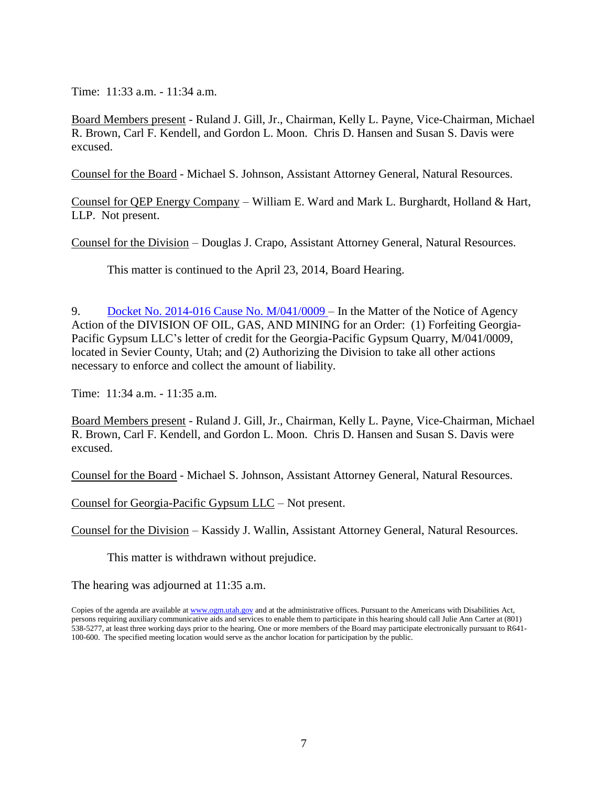Time: 11:33 a.m. - 11:34 a.m.

Board Members present - Ruland J. Gill, Jr., Chairman, Kelly L. Payne, Vice-Chairman, Michael R. Brown, Carl F. Kendell, and Gordon L. Moon. Chris D. Hansen and Susan S. Davis were excused.

Counsel for the Board - Michael S. Johnson, Assistant Attorney General, Natural Resources.

Counsel for QEP Energy Company – William E. Ward and Mark L. Burghardt, Holland & Hart, LLP. Not present.

Counsel for the Division – Douglas J. Crapo, Assistant Attorney General, Natural Resources.

This matter is continued to the April 23, 2014, Board Hearing.

9. Docket No. 2014-016 Cause No. [M/041/0009](http://ogm.utah.gov/amr/boardtemp/redesign/2014/03_mar/dockets/2014-016_m0410009_georgia-pacific.html) – In the Matter of the Notice of Agency Action of the DIVISION OF OIL, GAS, AND MINING for an Order: (1) Forfeiting Georgia-Pacific Gypsum LLC's letter of credit for the Georgia-Pacific Gypsum Quarry, M/041/0009, located in Sevier County, Utah; and (2) Authorizing the Division to take all other actions necessary to enforce and collect the amount of liability.

Time: 11:34 a.m. - 11:35 a.m.

Board Members present - Ruland J. Gill, Jr., Chairman, Kelly L. Payne, Vice-Chairman, Michael R. Brown, Carl F. Kendell, and Gordon L. Moon. Chris D. Hansen and Susan S. Davis were excused.

Counsel for the Board - Michael S. Johnson, Assistant Attorney General, Natural Resources.

Counsel for Georgia-Pacific Gypsum LLC – Not present.

Counsel for the Division – Kassidy J. Wallin, Assistant Attorney General, Natural Resources.

This matter is withdrawn without prejudice.

The hearing was adjourned at 11:35 a.m.

Copies of the agenda are available at [www.ogm.utah.gov](http://www.ogm.utah.gov/) and at the administrative offices. Pursuant to the Americans with Disabilities Act, persons requiring auxiliary communicative aids and services to enable them to participate in this hearing should call Julie Ann Carter at (801) 538-5277, at least three working days prior to the hearing. One or more members of the Board may participate electronically pursuant to R641- 100-600. The specified meeting location would serve as the anchor location for participation by the public.